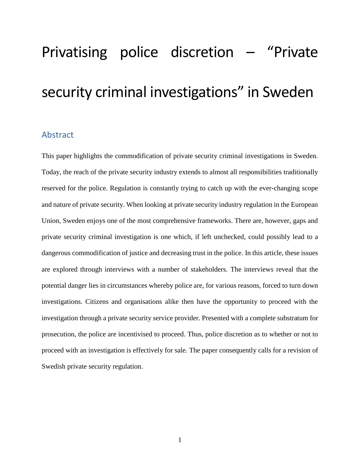# Privatising police discretion – "Private security criminal investigations" in Sweden

## Abstract

This paper highlights the commodification of private security criminal investigations in Sweden. Today, the reach of the private security industry extends to almost all responsibilities traditionally reserved for the police. Regulation is constantly trying to catch up with the ever-changing scope and nature of private security. When looking at private security industry regulation in the European Union, Sweden enjoys one of the most comprehensive frameworks. There are, however, gaps and private security criminal investigation is one which, if left unchecked, could possibly lead to a dangerous commodification of justice and decreasing trust in the police. In this article, these issues are explored through interviews with a number of stakeholders. The interviews reveal that the potential danger lies in circumstances whereby police are, for various reasons, forced to turn down investigations. Citizens and organisations alike then have the opportunity to proceed with the investigation through a private security service provider. Presented with a complete substratum for prosecution, the police are incentivised to proceed. Thus, police discretion as to whether or not to proceed with an investigation is effectively for sale. The paper consequently calls for a revision of Swedish private security regulation.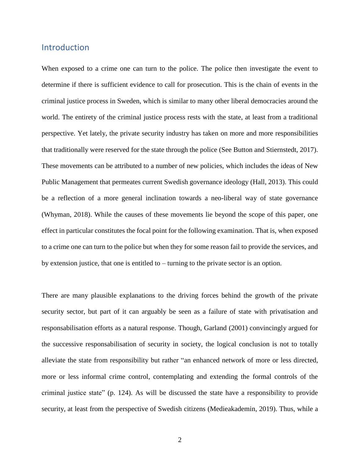## Introduction

When exposed to a crime one can turn to the police. The police then investigate the event to determine if there is sufficient evidence to call for prosecution. This is the chain of events in the criminal justice process in Sweden, which is similar to many other liberal democracies around the world. The entirety of the criminal justice process rests with the state, at least from a traditional perspective. Yet lately, the private security industry has taken on more and more responsibilities that traditionally were reserved for the state through the police (See Button and Stiernstedt, 2017). These movements can be attributed to a number of new policies, which includes the ideas of New Public Management that permeates current Swedish governance ideology (Hall, 2013). This could be a reflection of a more general inclination towards a neo-liberal way of state governance (Whyman, 2018). While the causes of these movements lie beyond the scope of this paper, one effect in particular constitutes the focal point for the following examination. That is, when exposed to a crime one can turn to the police but when they for some reason fail to provide the services, and by extension justice, that one is entitled to – turning to the private sector is an option.

There are many plausible explanations to the driving forces behind the growth of the private security sector, but part of it can arguably be seen as a failure of state with privatisation and responsabilisation efforts as a natural response. Though, Garland (2001) convincingly argued for the successive responsabilisation of security in society, the logical conclusion is not to totally alleviate the state from responsibility but rather "an enhanced network of more or less directed, more or less informal crime control, contemplating and extending the formal controls of the criminal justice state" (p. 124). As will be discussed the state have a responsibility to provide security, at least from the perspective of Swedish citizens (Medieakademin, 2019). Thus, while a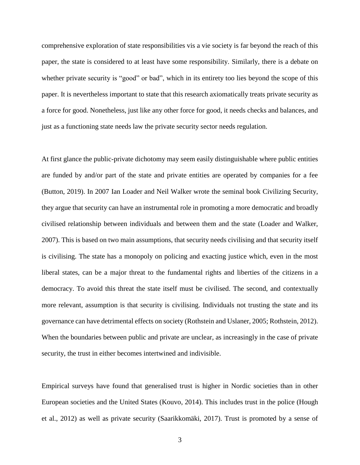comprehensive exploration of state responsibilities vis a vie society is far beyond the reach of this paper, the state is considered to at least have some responsibility. Similarly, there is a debate on whether private security is "good" or bad", which in its entirety too lies beyond the scope of this paper. It is nevertheless important to state that this research axiomatically treats private security as a force for good. Nonetheless, just like any other force for good, it needs checks and balances, and just as a functioning state needs law the private security sector needs regulation.

At first glance the public-private dichotomy may seem easily distinguishable where public entities are funded by and/or part of the state and private entities are operated by companies for a fee (Button, 2019). In 2007 Ian Loader and Neil Walker wrote the seminal book Civilizing Security, they argue that security can have an instrumental role in promoting a more democratic and broadly civilised relationship between individuals and between them and the state (Loader and Walker, 2007). This is based on two main assumptions, that security needs civilising and that security itself is civilising. The state has a monopoly on policing and exacting justice which, even in the most liberal states, can be a major threat to the fundamental rights and liberties of the citizens in a democracy. To avoid this threat the state itself must be civilised. The second, and contextually more relevant, assumption is that security is civilising. Individuals not trusting the state and its governance can have detrimental effects on society (Rothstein and Uslaner, 2005; Rothstein, 2012). When the boundaries between public and private are unclear, as increasingly in the case of private security, the trust in either becomes intertwined and indivisible.

Empirical surveys have found that generalised trust is higher in Nordic societies than in other European societies and the United States (Kouvo, 2014). This includes trust in the police (Hough et al., 2012) as well as private security (Saarikkomäki, 2017). Trust is promoted by a sense of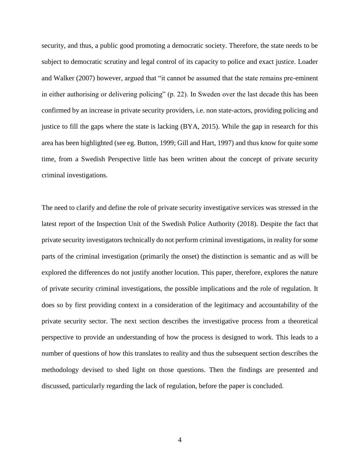security, and thus, a public good promoting a democratic society. Therefore, the state needs to be subject to democratic scrutiny and legal control of its capacity to police and exact justice. Loader and Walker (2007) however, argued that "it cannot be assumed that the state remains pre-eminent in either authorising or delivering policing" (p. 22). In Sweden over the last decade this has been confirmed by an increase in private security providers, i.e. non state-actors, providing policing and justice to fill the gaps where the state is lacking (BYA, 2015). While the gap in research for this area has been highlighted (see eg. Button, 1999; Gill and Hart, 1997) and thus know for quite some time, from a Swedish Perspective little has been written about the concept of private security criminal investigations.

The need to clarify and define the role of private security investigative services was stressed in the latest report of the Inspection Unit of the Swedish Police Authority (2018). Despite the fact that private security investigators technically do not perform criminal investigations, in reality for some parts of the criminal investigation (primarily the onset) the distinction is semantic and as will be explored the differences do not justify another locution. This paper, therefore, explores the nature of private security criminal investigations, the possible implications and the role of regulation. It does so by first providing context in a consideration of the legitimacy and accountability of the private security sector. The next section describes the investigative process from a theoretical perspective to provide an understanding of how the process is designed to work. This leads to a number of questions of how this translates to reality and thus the subsequent section describes the methodology devised to shed light on those questions. Then the findings are presented and discussed, particularly regarding the lack of regulation, before the paper is concluded.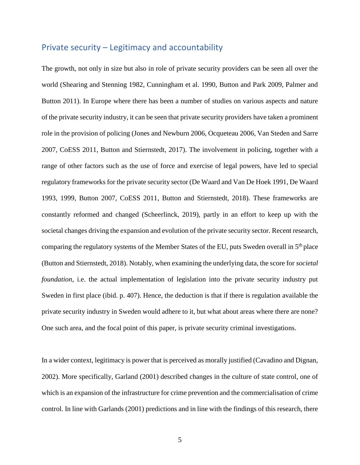# Private security – Legitimacy and accountability

The growth, not only in size but also in role of private security providers can be seen all over the world (Shearing and Stenning 1982, Cunningham et al. 1990, Button and Park 2009, Palmer and Button 2011). In Europe where there has been a number of studies on various aspects and nature of the private security industry, it can be seen that private security providers have taken a prominent role in the provision of policing (Jones and Newburn 2006, Ocqueteau 2006, Van Steden and Sarre 2007, CoESS 2011, Button and Stiernstedt, 2017). The involvement in policing, together with a range of other factors such as the use of force and exercise of legal powers, have led to special regulatory frameworks for the private security sector (De Waard and Van De Hoek 1991, De Waard 1993, 1999, Button 2007, CoESS 2011, Button and Stiernstedt, 2018). These frameworks are constantly reformed and changed (Scheerlinck, 2019), partly in an effort to keep up with the societal changes driving the expansion and evolution of the private security sector. Recent research, comparing the regulatory systems of the Member States of the EU, puts Sweden overall in  $5<sup>th</sup>$  place (Button and Stiernstedt, 2018). Notably, when examining the underlying data, the score for *societal foundation*, i.e. the actual implementation of legislation into the private security industry put Sweden in first place (ibid. p. 407). Hence, the deduction is that if there is regulation available the private security industry in Sweden would adhere to it, but what about areas where there are none? One such area, and the focal point of this paper, is private security criminal investigations.

In a wider context, legitimacy is power that is perceived as morally justified (Cavadino and Dignan, 2002). More specifically, Garland (2001) described changes in the culture of state control, one of which is an expansion of the infrastructure for crime prevention and the commercialisation of crime control. In line with Garlands (2001) predictions and in line with the findings of this research, there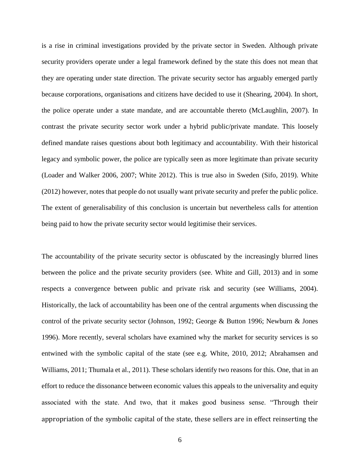is a rise in criminal investigations provided by the private sector in Sweden. Although private security providers operate under a legal framework defined by the state this does not mean that they are operating under state direction. The private security sector has arguably emerged partly because corporations, organisations and citizens have decided to use it (Shearing, 2004). In short, the police operate under a state mandate, and are accountable thereto (McLaughlin, 2007). In contrast the private security sector work under a hybrid public/private mandate. This loosely defined mandate raises questions about both legitimacy and accountability. With their historical legacy and symbolic power, the police are typically seen as more legitimate than private security (Loader and Walker 2006, 2007; White 2012). This is true also in Sweden (Sifo, 2019). White (2012) however, notes that people do not usually want private security and prefer the public police. The extent of generalisability of this conclusion is uncertain but nevertheless calls for attention being paid to how the private security sector would legitimise their services.

The accountability of the private security sector is obfuscated by the increasingly blurred lines between the police and the private security providers (see. White and Gill, 2013) and in some respects a convergence between public and private risk and security (see Williams, 2004). Historically, the lack of accountability has been one of the central arguments when discussing the control of the private security sector (Johnson, 1992; George & Button 1996; Newburn & Jones 1996). More recently, several scholars have examined why the market for security services is so entwined with the symbolic capital of the state (see e.g. White, 2010, 2012; Abrahamsen and Williams, 2011; Thumala et al., 2011). These scholars identify two reasons for this. One, that in an effort to reduce the dissonance between economic values this appeals to the universality and equity associated with the state. And two, that it makes good business sense. "Through their appropriation of the symbolic capital of the state, these sellers are in effect reinserting the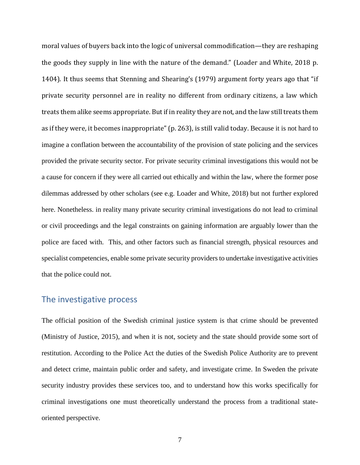moral values of buyers back into the logic of universal commodification—they are reshaping the goods they supply in line with the nature of the demand." (Loader and White, 2018 p. 1404). It thus seems that Stenning and Shearing's (1979) argument forty years ago that "if private security personnel are in reality no different from ordinary citizens, a law which treats them alike seems appropriate. But if in reality they are not, and the law still treats them as if they were, it becomes inappropriate" (p. 263), is still valid today. Because it is not hard to imagine a conflation between the accountability of the provision of state policing and the services provided the private security sector. For private security criminal investigations this would not be a cause for concern if they were all carried out ethically and within the law, where the former pose dilemmas addressed by other scholars (see e.g. Loader and White, 2018) but not further explored here. Nonetheless. in reality many private security criminal investigations do not lead to criminal or civil proceedings and the legal constraints on gaining information are arguably lower than the police are faced with. This, and other factors such as financial strength, physical resources and specialist competencies, enable some private security providers to undertake investigative activities that the police could not.

## The investigative process

The official position of the Swedish criminal justice system is that crime should be prevented (Ministry of Justice, 2015), and when it is not, society and the state should provide some sort of restitution. According to the Police Act the duties of the Swedish Police Authority are to prevent and detect crime, maintain public order and safety, and investigate crime. In Sweden the private security industry provides these services too, and to understand how this works specifically for criminal investigations one must theoretically understand the process from a traditional stateoriented perspective.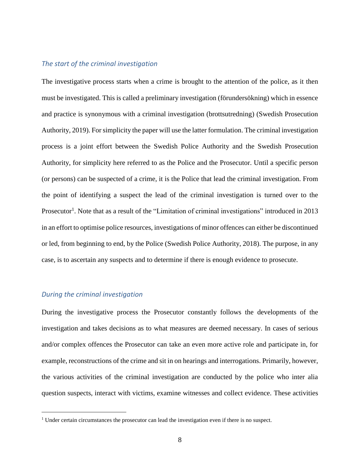#### *The start of the criminal investigation*

The investigative process starts when a crime is brought to the attention of the police, as it then must be investigated. This is called a preliminary investigation (förundersökning) which in essence and practice is synonymous with a criminal investigation (brottsutredning) (Swedish Prosecution Authority, 2019). For simplicity the paper will use the latter formulation. The criminal investigation process is a joint effort between the Swedish Police Authority and the Swedish Prosecution Authority, for simplicity here referred to as the Police and the Prosecutor. Until a specific person (or persons) can be suspected of a crime, it is the Police that lead the criminal investigation. From the point of identifying a suspect the lead of the criminal investigation is turned over to the Prosecutor<sup>1</sup>. Note that as a result of the "Limitation of criminal investigations" introduced in 2013 in an effort to optimise police resources, investigations of minor offences can either be discontinued or led, from beginning to end, by the Police (Swedish Police Authority, 2018). The purpose, in any case, is to ascertain any suspects and to determine if there is enough evidence to prosecute.

#### *During the criminal investigation*

 $\overline{a}$ 

During the investigative process the Prosecutor constantly follows the developments of the investigation and takes decisions as to what measures are deemed necessary. In cases of serious and/or complex offences the Prosecutor can take an even more active role and participate in, for example, reconstructions of the crime and sit in on hearings and interrogations. Primarily, however, the various activities of the criminal investigation are conducted by the police who inter alia question suspects, interact with victims, examine witnesses and collect evidence. These activities

<sup>&</sup>lt;sup>1</sup> Under certain circumstances the prosecutor can lead the investigation even if there is no suspect.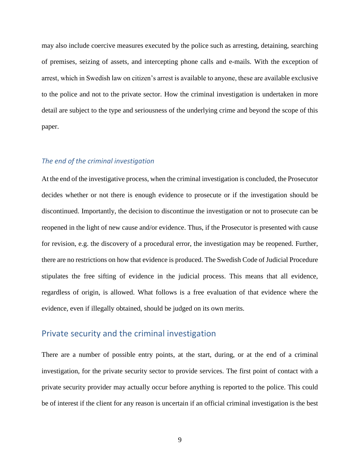may also include coercive measures executed by the police such as arresting, detaining, searching of premises, seizing of assets, and intercepting phone calls and e-mails. With the exception of arrest, which in Swedish law on citizen's arrest is available to anyone, these are available exclusive to the police and not to the private sector. How the criminal investigation is undertaken in more detail are subject to the type and seriousness of the underlying crime and beyond the scope of this paper.

#### *The end of the criminal investigation*

At the end of the investigative process, when the criminal investigation is concluded, the Prosecutor decides whether or not there is enough evidence to prosecute or if the investigation should be discontinued. Importantly, the decision to discontinue the investigation or not to prosecute can be reopened in the light of new cause and/or evidence. Thus, if the Prosecutor is presented with cause for revision, e.g. the discovery of a procedural error, the investigation may be reopened. Further, there are no restrictions on how that evidence is produced. The Swedish Code of Judicial Procedure stipulates the free sifting of evidence in the judicial process. This means that all evidence, regardless of origin, is allowed. What follows is a free evaluation of that evidence where the evidence, even if illegally obtained, should be judged on its own merits.

# Private security and the criminal investigation

There are a number of possible entry points, at the start, during, or at the end of a criminal investigation, for the private security sector to provide services. The first point of contact with a private security provider may actually occur before anything is reported to the police. This could be of interest if the client for any reason is uncertain if an official criminal investigation is the best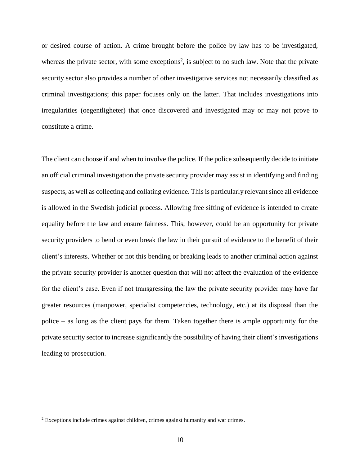or desired course of action. A crime brought before the police by law has to be investigated, whereas the private sector, with some exceptions<sup>2</sup>, is subject to no such law. Note that the private security sector also provides a number of other investigative services not necessarily classified as criminal investigations; this paper focuses only on the latter. That includes investigations into irregularities (oegentligheter) that once discovered and investigated may or may not prove to constitute a crime.

The client can choose if and when to involve the police. If the police subsequently decide to initiate an official criminal investigation the private security provider may assist in identifying and finding suspects, as well as collecting and collating evidence. This is particularly relevant since all evidence is allowed in the Swedish judicial process. Allowing free sifting of evidence is intended to create equality before the law and ensure fairness. This, however, could be an opportunity for private security providers to bend or even break the law in their pursuit of evidence to the benefit of their client's interests. Whether or not this bending or breaking leads to another criminal action against the private security provider is another question that will not affect the evaluation of the evidence for the client's case. Even if not transgressing the law the private security provider may have far greater resources (manpower, specialist competencies, technology, etc.) at its disposal than the police – as long as the client pays for them. Taken together there is ample opportunity for the private security sector to increase significantly the possibility of having their client's investigations leading to prosecution.

 $\overline{a}$ 

<sup>&</sup>lt;sup>2</sup> Exceptions include crimes against children, crimes against humanity and war crimes.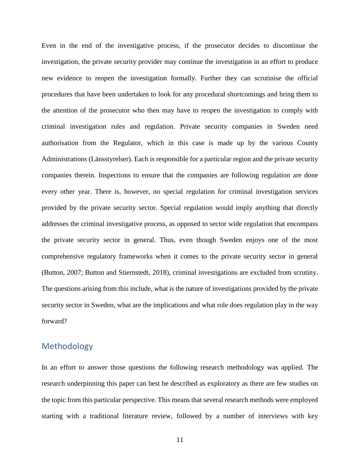Even in the end of the investigative process, if the prosecutor decides to discontinue the investigation, the private security provider may continue the investigation in an effort to produce new evidence to reopen the investigation formally. Further they can scrutinise the official procedures that have been undertaken to look for any procedural shortcomings and bring them to the attention of the prosecutor who then may have to reopen the investigation to comply with criminal investigation rules and regulation. Private security companies in Sweden need authorisation from the Regulator, which in this case is made up by the various County Administrations (Länsstyrelser). Each is responsible for a particular region and the private security companies therein. Inspections to ensure that the companies are following regulation are done every other year. There is, however, no special regulation for criminal investigation services provided by the private security sector. Special regulation would imply anything that directly addresses the criminal investigative process, as opposed to sector wide regulation that encompass the private security sector in general. Thus, even though Sweden enjoys one of the most comprehensive regulatory frameworks when it comes to the private security sector in general (Button, 2007; Button and Stiernstedt, 2018), criminal investigations are excluded from scrutiny. The questions arising from this include, what is the nature of investigations provided by the private security sector in Sweden, what are the implications and what role does regulation play in the way forward?

## Methodology

In an effort to answer those questions the following research methodology was applied. The research underpinning this paper can best be described as exploratory as there are few studies on the topic from this particular perspective. This means that several research methods were employed starting with a traditional literature review, followed by a number of interviews with key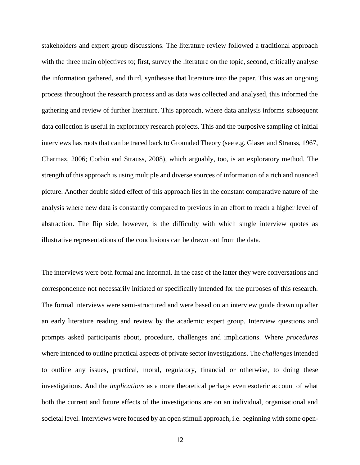stakeholders and expert group discussions. The literature review followed a traditional approach with the three main objectives to; first, survey the literature on the topic, second, critically analyse the information gathered, and third, synthesise that literature into the paper. This was an ongoing process throughout the research process and as data was collected and analysed, this informed the gathering and review of further literature. This approach, where data analysis informs subsequent data collection is useful in exploratory research projects. This and the purposive sampling of initial interviews has roots that can be traced back to Grounded Theory (see e.g. Glaser and Strauss, 1967, Charmaz, 2006; Corbin and Strauss, 2008), which arguably, too, is an exploratory method. The strength of this approach is using multiple and diverse sources of information of a rich and nuanced picture. Another double sided effect of this approach lies in the constant comparative nature of the analysis where new data is constantly compared to previous in an effort to reach a higher level of abstraction. The flip side, however, is the difficulty with which single interview quotes as illustrative representations of the conclusions can be drawn out from the data.

The interviews were both formal and informal. In the case of the latter they were conversations and correspondence not necessarily initiated or specifically intended for the purposes of this research. The formal interviews were semi-structured and were based on an interview guide drawn up after an early literature reading and review by the academic expert group. Interview questions and prompts asked participants about, procedure, challenges and implications. Where *procedures* where intended to outline practical aspects of private sector investigations. The *challenges* intended to outline any issues, practical, moral, regulatory, financial or otherwise, to doing these investigations. And the *implications* as a more theoretical perhaps even esoteric account of what both the current and future effects of the investigations are on an individual, organisational and societal level. Interviews were focused by an open stimuli approach, i.e. beginning with some open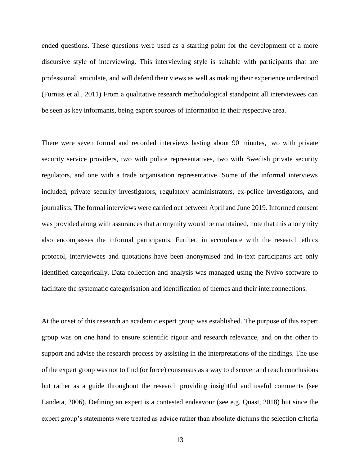ended questions. These questions were used as a starting point for the development of a more discursive style of interviewing. This interviewing style is suitable with participants that are professional, articulate, and will defend their views as well as making their experience understood (Furniss et al., 2011) From a qualitative research methodological standpoint all interviewees can be seen as key informants, being expert sources of information in their respective area.

There were seven formal and recorded interviews lasting about 90 minutes, two with private security service providers, two with police representatives, two with Swedish private security regulators, and one with a trade organisation representative. Some of the informal interviews included, private security investigators, regulatory administrators, ex-police investigators, and journalists. The formal interviews were carried out between April and June 2019. Informed consent was provided along with assurances that anonymity would be maintained, note that this anonymity also encompasses the informal participants. Further, in accordance with the research ethics protocol, interviewees and quotations have been anonymised and in-text participants are only identified categorically. Data collection and analysis was managed using the Nvivo software to facilitate the systematic categorisation and identification of themes and their interconnections.

At the onset of this research an academic expert group was established. The purpose of this expert group was on one hand to ensure scientific rigour and research relevance, and on the other to support and advise the research process by assisting in the interpretations of the findings. The use of the expert group was not to find (or force) consensus as a way to discover and reach conclusions but rather as a guide throughout the research providing insightful and useful comments (see Landeta, 2006). Defining an expert is a contested endeavour (see e.g. Quast, 2018) but since the expert group's statements were treated as advice rather than absolute dictums the selection criteria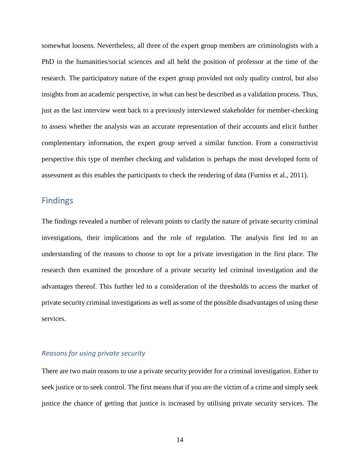somewhat loosens. Nevertheless, all three of the expert group members are criminologists with a PhD in the humanities/social sciences and all held the position of professor at the time of the research. The participatory nature of the expert group provided not only quality control, but also insights from an academic perspective, in what can best be described as a validation process. Thus, just as the last interview went back to a previously interviewed stakeholder for member-checking to assess whether the analysis was an accurate representation of their accounts and elicit further complementary information, the expert group served a similar function. From a constructivist perspective this type of member checking and validation is perhaps the most developed form of assessment as this enables the participants to check the rendering of data (Furniss et al., 2011).

## Findings

The findings revealed a number of relevant points to clarify the nature of private security criminal investigations, their implications and the role of regulation. The analysis first led to an understanding of the reasons to choose to opt for a private investigation in the first place. The research then examined the procedure of a private security led criminal investigation and the advantages thereof. This further led to a consideration of the thresholds to access the market of private security criminal investigations as well as some of the possible disadvantages of using these services.

#### *Reasons for using private security*

There are two main reasons to use a private security provider for a criminal investigation. Either to seek justice or to seek control. The first means that if you are the victim of a crime and simply seek justice the chance of getting that justice is increased by utilising private security services. The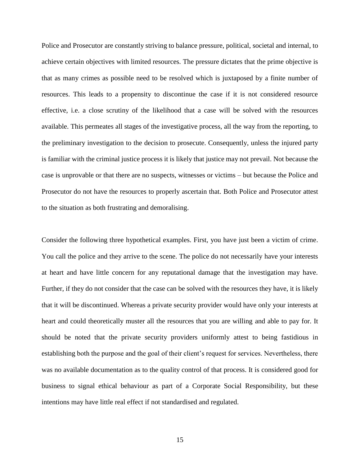Police and Prosecutor are constantly striving to balance pressure, political, societal and internal, to achieve certain objectives with limited resources. The pressure dictates that the prime objective is that as many crimes as possible need to be resolved which is juxtaposed by a finite number of resources. This leads to a propensity to discontinue the case if it is not considered resource effective, i.e. a close scrutiny of the likelihood that a case will be solved with the resources available. This permeates all stages of the investigative process, all the way from the reporting, to the preliminary investigation to the decision to prosecute. Consequently, unless the injured party is familiar with the criminal justice process it is likely that justice may not prevail. Not because the case is unprovable or that there are no suspects, witnesses or victims – but because the Police and Prosecutor do not have the resources to properly ascertain that. Both Police and Prosecutor attest to the situation as both frustrating and demoralising.

Consider the following three hypothetical examples. First, you have just been a victim of crime. You call the police and they arrive to the scene. The police do not necessarily have your interests at heart and have little concern for any reputational damage that the investigation may have. Further, if they do not consider that the case can be solved with the resources they have, it is likely that it will be discontinued. Whereas a private security provider would have only your interests at heart and could theoretically muster all the resources that you are willing and able to pay for. It should be noted that the private security providers uniformly attest to being fastidious in establishing both the purpose and the goal of their client's request for services. Nevertheless, there was no available documentation as to the quality control of that process. It is considered good for business to signal ethical behaviour as part of a Corporate Social Responsibility, but these intentions may have little real effect if not standardised and regulated.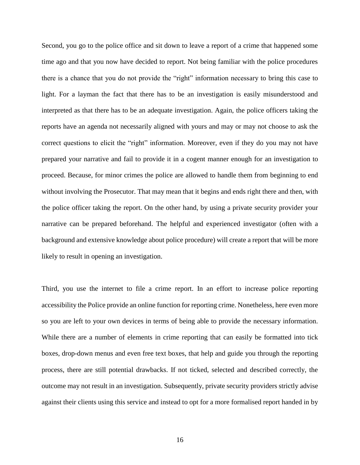Second, you go to the police office and sit down to leave a report of a crime that happened some time ago and that you now have decided to report. Not being familiar with the police procedures there is a chance that you do not provide the "right" information necessary to bring this case to light. For a layman the fact that there has to be an investigation is easily misunderstood and interpreted as that there has to be an adequate investigation. Again, the police officers taking the reports have an agenda not necessarily aligned with yours and may or may not choose to ask the correct questions to elicit the "right" information. Moreover, even if they do you may not have prepared your narrative and fail to provide it in a cogent manner enough for an investigation to proceed. Because, for minor crimes the police are allowed to handle them from beginning to end without involving the Prosecutor. That may mean that it begins and ends right there and then, with the police officer taking the report. On the other hand, by using a private security provider your narrative can be prepared beforehand. The helpful and experienced investigator (often with a background and extensive knowledge about police procedure) will create a report that will be more likely to result in opening an investigation.

Third, you use the internet to file a crime report. In an effort to increase police reporting accessibility the Police provide an online function for reporting crime. Nonetheless, here even more so you are left to your own devices in terms of being able to provide the necessary information. While there are a number of elements in crime reporting that can easily be formatted into tick boxes, drop-down menus and even free text boxes, that help and guide you through the reporting process, there are still potential drawbacks. If not ticked, selected and described correctly, the outcome may not result in an investigation. Subsequently, private security providers strictly advise against their clients using this service and instead to opt for a more formalised report handed in by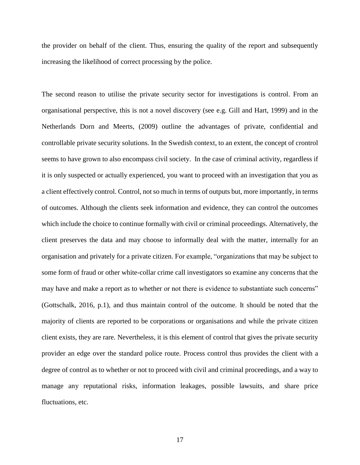the provider on behalf of the client. Thus, ensuring the quality of the report and subsequently increasing the likelihood of correct processing by the police.

The second reason to utilise the private security sector for investigations is control. From an organisational perspective, this is not a novel discovery (see e.g. Gill and Hart, 1999) and in the Netherlands Dorn and Meerts, (2009) outline the advantages of private, confidential and controllable private security solutions. In the Swedish context, to an extent, the concept of crontrol seems to have grown to also encompass civil society. In the case of criminal activity, regardless if it is only suspected or actually experienced, you want to proceed with an investigation that you as a client effectively control. Control, not so much in terms of outputs but, more importantly, in terms of outcomes. Although the clients seek information and evidence, they can control the outcomes which include the choice to continue formally with civil or criminal proceedings. Alternatively, the client preserves the data and may choose to informally deal with the matter, internally for an organisation and privately for a private citizen. For example, "organizations that may be subject to some form of fraud or other white-collar crime call investigators so examine any concerns that the may have and make a report as to whether or not there is evidence to substantiate such concerns" (Gottschalk, 2016, p.1), and thus maintain control of the outcome. It should be noted that the majority of clients are reported to be corporations or organisations and while the private citizen client exists, they are rare. Nevertheless, it is this element of control that gives the private security provider an edge over the standard police route. Process control thus provides the client with a degree of control as to whether or not to proceed with civil and criminal proceedings, and a way to manage any reputational risks, information leakages, possible lawsuits, and share price fluctuations, etc.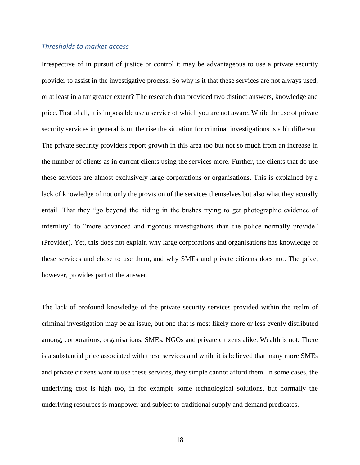#### *Thresholds to market access*

Irrespective of in pursuit of justice or control it may be advantageous to use a private security provider to assist in the investigative process. So why is it that these services are not always used, or at least in a far greater extent? The research data provided two distinct answers, knowledge and price. First of all, it is impossible use a service of which you are not aware. While the use of private security services in general is on the rise the situation for criminal investigations is a bit different. The private security providers report growth in this area too but not so much from an increase in the number of clients as in current clients using the services more. Further, the clients that do use these services are almost exclusively large corporations or organisations. This is explained by a lack of knowledge of not only the provision of the services themselves but also what they actually entail. That they "go beyond the hiding in the bushes trying to get photographic evidence of infertility" to "more advanced and rigorous investigations than the police normally provide" (Provider). Yet, this does not explain why large corporations and organisations has knowledge of these services and chose to use them, and why SMEs and private citizens does not. The price, however, provides part of the answer.

The lack of profound knowledge of the private security services provided within the realm of criminal investigation may be an issue, but one that is most likely more or less evenly distributed among, corporations, organisations, SMEs, NGOs and private citizens alike. Wealth is not. There is a substantial price associated with these services and while it is believed that many more SMEs and private citizens want to use these services, they simple cannot afford them. In some cases, the underlying cost is high too, in for example some technological solutions, but normally the underlying resources is manpower and subject to traditional supply and demand predicates.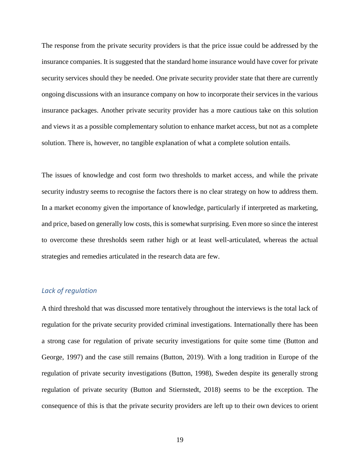The response from the private security providers is that the price issue could be addressed by the insurance companies. It is suggested that the standard home insurance would have cover for private security services should they be needed. One private security provider state that there are currently ongoing discussions with an insurance company on how to incorporate their services in the various insurance packages. Another private security provider has a more cautious take on this solution and views it as a possible complementary solution to enhance market access, but not as a complete solution. There is, however, no tangible explanation of what a complete solution entails.

The issues of knowledge and cost form two thresholds to market access, and while the private security industry seems to recognise the factors there is no clear strategy on how to address them. In a market economy given the importance of knowledge, particularly if interpreted as marketing, and price, based on generally low costs, this is somewhat surprising. Even more so since the interest to overcome these thresholds seem rather high or at least well-articulated, whereas the actual strategies and remedies articulated in the research data are few.

#### *Lack of regulation*

A third threshold that was discussed more tentatively throughout the interviews is the total lack of regulation for the private security provided criminal investigations. Internationally there has been a strong case for regulation of private security investigations for quite some time (Button and George, 1997) and the case still remains (Button, 2019). With a long tradition in Europe of the regulation of private security investigations (Button, 1998), Sweden despite its generally strong regulation of private security (Button and Stiernstedt, 2018) seems to be the exception. The consequence of this is that the private security providers are left up to their own devices to orient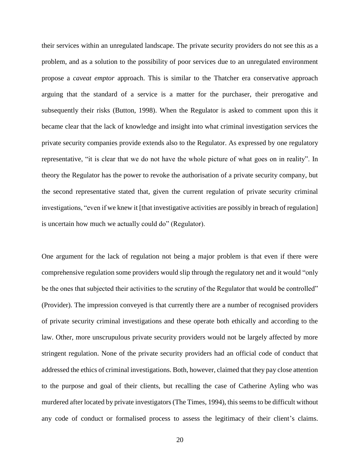their services within an unregulated landscape. The private security providers do not see this as a problem, and as a solution to the possibility of poor services due to an unregulated environment propose a *caveat emptor* approach. This is similar to the Thatcher era conservative approach arguing that the standard of a service is a matter for the purchaser, their prerogative and subsequently their risks (Button, 1998). When the Regulator is asked to comment upon this it became clear that the lack of knowledge and insight into what criminal investigation services the private security companies provide extends also to the Regulator. As expressed by one regulatory representative, "it is clear that we do not have the whole picture of what goes on in reality". In theory the Regulator has the power to revoke the authorisation of a private security company, but the second representative stated that, given the current regulation of private security criminal investigations, "even if we knew it [that investigative activities are possibly in breach of regulation] is uncertain how much we actually could do" (Regulator).

One argument for the lack of regulation not being a major problem is that even if there were comprehensive regulation some providers would slip through the regulatory net and it would "only be the ones that subjected their activities to the scrutiny of the Regulator that would be controlled" (Provider). The impression conveyed is that currently there are a number of recognised providers of private security criminal investigations and these operate both ethically and according to the law. Other, more unscrupulous private security providers would not be largely affected by more stringent regulation. None of the private security providers had an official code of conduct that addressed the ethics of criminal investigations. Both, however, claimed that they pay close attention to the purpose and goal of their clients, but recalling the case of Catherine Ayling who was murdered after located by private investigators (The Times, 1994), this seems to be difficult without any code of conduct or formalised process to assess the legitimacy of their client's claims.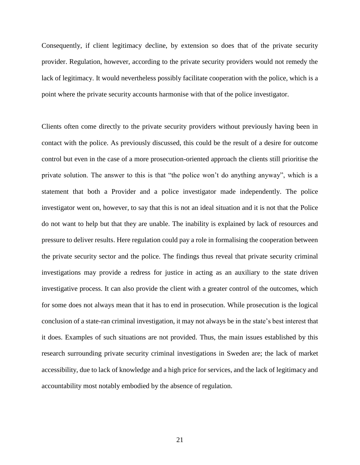Consequently, if client legitimacy decline, by extension so does that of the private security provider. Regulation, however, according to the private security providers would not remedy the lack of legitimacy. It would nevertheless possibly facilitate cooperation with the police, which is a point where the private security accounts harmonise with that of the police investigator.

Clients often come directly to the private security providers without previously having been in contact with the police. As previously discussed, this could be the result of a desire for outcome control but even in the case of a more prosecution-oriented approach the clients still prioritise the private solution. The answer to this is that "the police won't do anything anyway", which is a statement that both a Provider and a police investigator made independently. The police investigator went on, however, to say that this is not an ideal situation and it is not that the Police do not want to help but that they are unable. The inability is explained by lack of resources and pressure to deliver results. Here regulation could pay a role in formalising the cooperation between the private security sector and the police. The findings thus reveal that private security criminal investigations may provide a redress for justice in acting as an auxiliary to the state driven investigative process. It can also provide the client with a greater control of the outcomes, which for some does not always mean that it has to end in prosecution. While prosecution is the logical conclusion of a state-ran criminal investigation, it may not always be in the state's best interest that it does. Examples of such situations are not provided. Thus, the main issues established by this research surrounding private security criminal investigations in Sweden are; the lack of market accessibility, due to lack of knowledge and a high price for services, and the lack of legitimacy and accountability most notably embodied by the absence of regulation.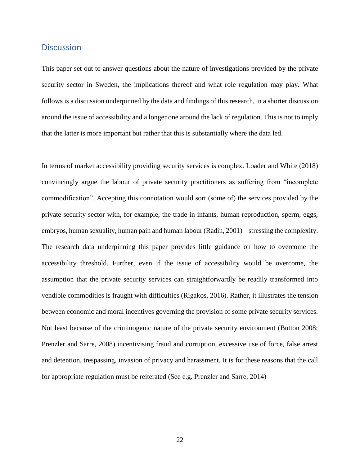# **Discussion**

This paper set out to answer questions about the nature of investigations provided by the private security sector in Sweden, the implications thereof and what role regulation may play. What follows is a discussion underpinned by the data and findings of this research, in a shorter discussion around the issue of accessibility and a longer one around the lack of regulation. This is not to imply that the latter is more important but rather that this is substantially where the data led.

In terms of market accessibility providing security services is complex. Loader and White (2018) convincingly argue the labour of private security practitioners as suffering from "incomplete commodification". Accepting this connotation would sort (some of) the services provided by the private security sector with, for example, the trade in infants, human reproduction, sperm, eggs, embryos, human sexuality, human pain and human labour (Radin, 2001) – stressing the complexity. The research data underpinning this paper provides little guidance on how to overcome the accessibility threshold. Further, even if the issue of accessibility would be overcome, the assumption that the private security services can straightforwardly be readily transformed into vendible commodities is fraught with difficulties (Rigakos, 2016). Rather, it illustrates the tension between economic and moral incentives governing the provision of some private security services. Not least because of the criminogenic nature of the private security environment (Button 2008; Prenzler and Sarre, 2008) incentivising fraud and corruption, excessive use of force, false arrest and detention, trespassing, invasion of privacy and harassment. It is for these reasons that the call for appropriate regulation must be reiterated (See e.g. Prenzler and Sarre, 2014)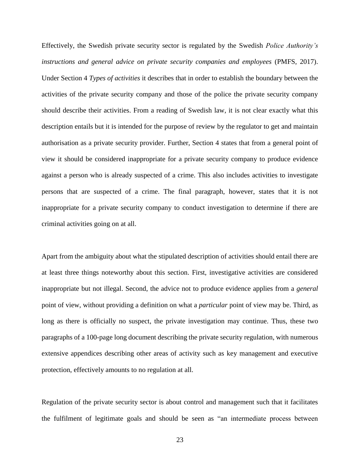Effectively, the Swedish private security sector is regulated by the Swedish *Police Authority's instructions and general advice on private security companies and employees* (PMFS, 2017). Under Section 4 *Types of activities* it describes that in order to establish the boundary between the activities of the private security company and those of the police the private security company should describe their activities. From a reading of Swedish law, it is not clear exactly what this description entails but it is intended for the purpose of review by the regulator to get and maintain authorisation as a private security provider. Further, Section 4 states that from a general point of view it should be considered inappropriate for a private security company to produce evidence against a person who is already suspected of a crime. This also includes activities to investigate persons that are suspected of a crime. The final paragraph, however, states that it is not inappropriate for a private security company to conduct investigation to determine if there are criminal activities going on at all.

Apart from the ambiguity about what the stipulated description of activities should entail there are at least three things noteworthy about this section. First, investigative activities are considered inappropriate but not illegal. Second, the advice not to produce evidence applies from a *general* point of view, without providing a definition on what a *particular* point of view may be. Third, as long as there is officially no suspect, the private investigation may continue. Thus, these two paragraphs of a 100-page long document describing the private security regulation, with numerous extensive appendices describing other areas of activity such as key management and executive protection, effectively amounts to no regulation at all.

Regulation of the private security sector is about control and management such that it facilitates the fulfilment of legitimate goals and should be seen as "an intermediate process between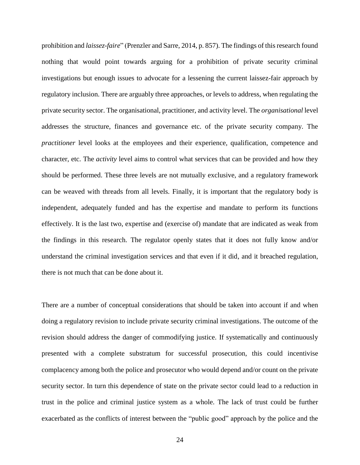prohibition and *laissez-faire*" (Prenzler and Sarre, 2014, p. 857). The findings of this research found nothing that would point towards arguing for a prohibition of private security criminal investigations but enough issues to advocate for a lessening the current laissez-fair approach by regulatory inclusion. There are arguably three approaches, or levels to address, when regulating the private security sector. The organisational, practitioner, and activity level. The *organisational* level addresses the structure, finances and governance etc. of the private security company. The *practitioner* level looks at the employees and their experience, qualification, competence and character, etc. The *activity* level aims to control what services that can be provided and how they should be performed. These three levels are not mutually exclusive, and a regulatory framework can be weaved with threads from all levels. Finally, it is important that the regulatory body is independent, adequately funded and has the expertise and mandate to perform its functions effectively. It is the last two, expertise and (exercise of) mandate that are indicated as weak from the findings in this research. The regulator openly states that it does not fully know and/or understand the criminal investigation services and that even if it did, and it breached regulation, there is not much that can be done about it.

There are a number of conceptual considerations that should be taken into account if and when doing a regulatory revision to include private security criminal investigations. The outcome of the revision should address the danger of commodifying justice. If systematically and continuously presented with a complete substratum for successful prosecution, this could incentivise complacency among both the police and prosecutor who would depend and/or count on the private security sector. In turn this dependence of state on the private sector could lead to a reduction in trust in the police and criminal justice system as a whole. The lack of trust could be further exacerbated as the conflicts of interest between the "public good" approach by the police and the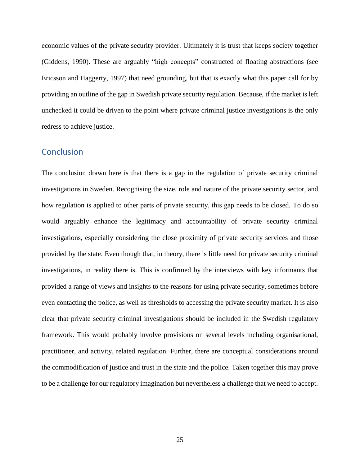economic values of the private security provider. Ultimately it is trust that keeps society together (Giddens, 1990). These are arguably "high concepts" constructed of floating abstractions (see Ericsson and Haggerty, 1997) that need grounding, but that is exactly what this paper call for by providing an outline of the gap in Swedish private security regulation. Because, if the market is left unchecked it could be driven to the point where private criminal justice investigations is the only redress to achieve justice.

## **Conclusion**

The conclusion drawn here is that there is a gap in the regulation of private security criminal investigations in Sweden. Recognising the size, role and nature of the private security sector, and how regulation is applied to other parts of private security, this gap needs to be closed. To do so would arguably enhance the legitimacy and accountability of private security criminal investigations, especially considering the close proximity of private security services and those provided by the state. Even though that, in theory, there is little need for private security criminal investigations, in reality there is. This is confirmed by the interviews with key informants that provided a range of views and insights to the reasons for using private security, sometimes before even contacting the police, as well as thresholds to accessing the private security market. It is also clear that private security criminal investigations should be included in the Swedish regulatory framework. This would probably involve provisions on several levels including organisational, practitioner, and activity, related regulation. Further, there are conceptual considerations around the commodification of justice and trust in the state and the police. Taken together this may prove to be a challenge for our regulatory imagination but nevertheless a challenge that we need to accept.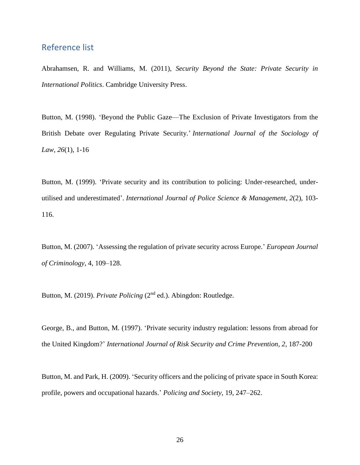# Reference list

Abrahamsen, R. and Williams, M. (2011), *Security Beyond the State: Private Security in International Politics*. Cambridge University Press.

Button, M. (1998). 'Beyond the Public Gaze—The Exclusion of Private Investigators from the British Debate over Regulating Private Security.' *International Journal of the Sociology of Law*, *26*(1), 1-16

Button, M. (1999). 'Private security and its contribution to policing: Under-researched, underutilised and underestimated'. *International Journal of Police Science & Management*, *2*(2), 103- 116.

Button, M. (2007). 'Assessing the regulation of private security across Europe.' *European Journal of Criminology*, 4, 109–128.

Button, M. (2019). *Private Policing* (2<sup>nd</sup> ed.). Abingdon: Routledge.

George, B., and Button, M. (1997). 'Private security industry regulation: lessons from abroad for the United Kingdom?' *International Journal of Risk Security and Crime Prevention*, *2*, 187-200

Button, M. and Park, H. (2009). 'Security officers and the policing of private space in South Korea: profile, powers and occupational hazards.' *Policing and Society*, 19, 247–262.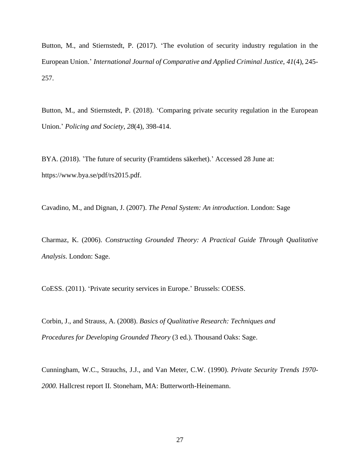Button, M., and Stiernstedt, P. (2017). 'The evolution of security industry regulation in the European Union.' *International Journal of Comparative and Applied Criminal Justice*, *41*(4), 245- 257.

Button, M., and Stiernstedt, P. (2018). 'Comparing private security regulation in the European Union.' *Policing and Society*, *28*(4), 398-414.

BYA. (2018). 'The future of security (Framtidens säkerhet).' Accessed 28 June at: https://www.bya.se/pdf/rs2015.pdf.

Cavadino, M., and Dignan, J. (2007). *The Penal System: An introduction*. London: Sage

Charmaz, K. (2006). *Constructing Grounded Theory: A Practical Guide Through Qualitative Analysis*. London: Sage.

CoESS. (2011). 'Private security services in Europe.' Brussels: COESS.

Corbin, J., and Strauss, A. (2008). *Basics of Qualitative Research: Techniques and Procedures for Developing Grounded Theory* (3 ed.). Thousand Oaks: Sage.

Cunningham, W.C., Strauchs, J.J., and Van Meter, C.W. (1990). *Private Security Trends 1970- 2000.* Hallcrest report II. Stoneham, MA: Butterworth-Heinemann.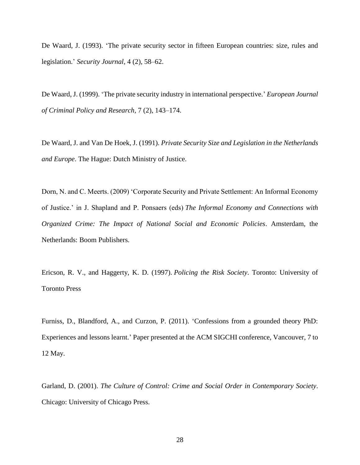De Waard, J. (1993). 'The private security sector in fifteen European countries: size, rules and legislation.' *Security Journal*, 4 (2), 58–62.

De Waard, J. (1999). 'The private security industry in international perspective.' *European Journal of Criminal Policy and Research*, 7 (2), 143–174.

De Waard, J. and Van De Hoek, J. (1991). *Private Security Size and Legislation in the Netherlands and Europe*. The Hague: Dutch Ministry of Justice.

Dorn, N. and C. Meerts. (2009) 'Corporate Security and Private Settlement: An Informal Economy of Justice.' in J. Shapland and P. Ponsaers (eds) *The Informal Economy and Connections with Organized Crime: The Impact of National Social and Economic Policies*. Amsterdam, the Netherlands: Boom Publishers.

Ericson, R. V., and Haggerty, K. D. (1997). *Policing the Risk Society*. Toronto: University of Toronto Press

Furniss, D., Blandford, A., and Curzon, P. (2011). 'Confessions from a grounded theory PhD: Experiences and lessons learnt.' Paper presented at the ACM SIGCHI conference, Vancouver, 7 to 12 May.

Garland, D. (2001). *The Culture of Control: Crime and Social Order in Contemporary Society*. Chicago: University of Chicago Press.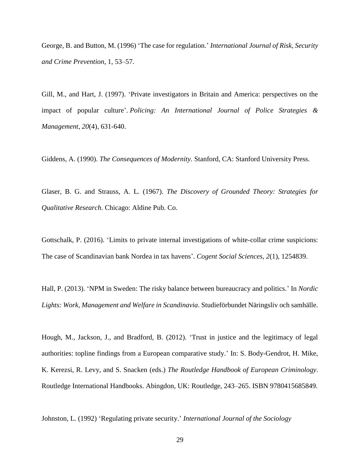George, B. and Button, M. (1996) 'The case for regulation.' *International Journal of Risk, Security and Crime Prevention*, 1, 53–57.

Gill, M., and Hart, J. (1997). 'Private investigators in Britain and America: perspectives on the impact of popular culture'. *Policing: An International Journal of Police Strategies & Management*, *20*(4), 631-640.

Giddens, A. (1990). *The Consequences of Modernity.* Stanford, CA: Stanford University Press.

Glaser, B. G. and Strauss, A. L. (1967). *The Discovery of Grounded Theory: Strategies for Qualitative Research*. Chicago: Aldine Pub. Co.

Gottschalk, P. (2016). 'Limits to private internal investigations of white-collar crime suspicions: The case of Scandinavian bank Nordea in tax havens'. *Cogent Social Sciences*, *2*(1), 1254839.

Hall, P. (2013). 'NPM in Sweden: The risky balance between bureaucracy and politics.' In *Nordic Lights: Work, Management and Welfare in Scandinavia*. Studieförbundet Näringsliv och samhälle.

Hough, M., Jackson, J., and Bradford, B. (2012). 'Trust in justice and the legitimacy of legal authorities: topline findings from a European comparative study.' In: S. Body-Gendrot, H. Mike, K. Kerezsi, R. Levy, and S. Snacken (eds.) *The Routledge Handbook of European Criminology*. Routledge International Handbooks. Abingdon, UK: Routledge, 243–265. ISBN 9780415685849.

Johnston, L. (1992) 'Regulating private security.' *International Journal of the Sociology*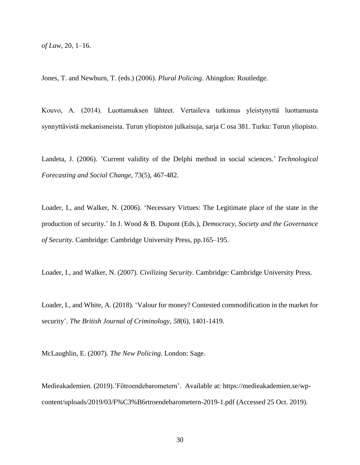Jones, T. and Newburn, T. (eds.) (2006). *Plural Policing*. Abingdon: Routledge.

Kouvo, A. (2014). Luottamuksen lähteet. Vertaileva tutkimus yleistynyttä luottamusta synnyttävistä mekanismeista. Turun yliopiston julkaisuja, sarja C osa 381. Turku: Turun yliopisto.

Landeta, J. (2006). 'Current validity of the Delphi method in social sciences.' *Technological Forecasting and Social Change*, 73(5), 467-482.

Loader, I., and Walker, N. (2006). 'Necessary Virtues: The Legitimate place of the state in the production of security.' In J. Wood & B. Dupont (Eds.), *Democracy, Society and the Governance of Security*. Cambridge: Cambridge University Press, pp.165–195.

Loader, I., and Walker, N. (2007). *Civilizing Security*. Cambridge: Cambridge University Press.

Loader, I., and White, A. (2018). 'Valour for money? Contested commodification in the market for security'. *The British Journal of Criminology*, *58*(6), 1401-1419.

McLaughlin, E. (2007). *The New Policing*. London: Sage.

Medieakademien. (2019).'Fötroendebarometern'. Available at: https://medieakademien.se/wpcontent/uploads/2019/03/F%C3%B6rtroendebarometern-2019-1.pdf (Accessed 25 Oct. 2019).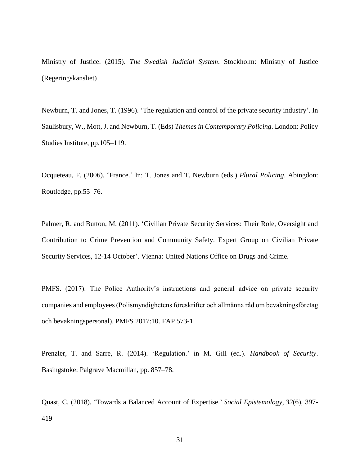Ministry of Justice. (2015). *The Swedish Judicial System*. Stockholm: Ministry of Justice (Regeringskansliet)

Newburn, T. and Jones, T. (1996). 'The regulation and control of the private security industry'. In Saulisbury, W., Mott, J. and Newburn, T. (Eds) *Themes in Contemporary Policing*. London: Policy Studies Institute, pp.105–119.

Ocqueteau, F. (2006). 'France.' In: T. Jones and T. Newburn (eds.) *Plural Policing*. Abingdon: Routledge, pp.55–76.

Palmer, R. and Button, M. (2011). 'Civilian Private Security Services: Their Role, Oversight and Contribution to Crime Prevention and Community Safety. Expert Group on Civilian Private Security Services, 12-14 October'. Vienna: United Nations Office on Drugs and Crime.

PMFS. (2017). The Police Authority's instructions and general advice on private security companies and employees (Polismyndighetens föreskrifter och allmänna råd om bevakningsföretag och bevakningspersonal). PMFS 2017:10. FAP 573-1.

Prenzler, T. and Sarre, R. (2014). 'Regulation.' in M. Gill (ed.). *Handbook of Security*. Basingstoke: Palgrave Macmillan, pp. 857–78.

Quast, C. (2018). 'Towards a Balanced Account of Expertise.' *Social Epistemology*, *32*(6), 397- 419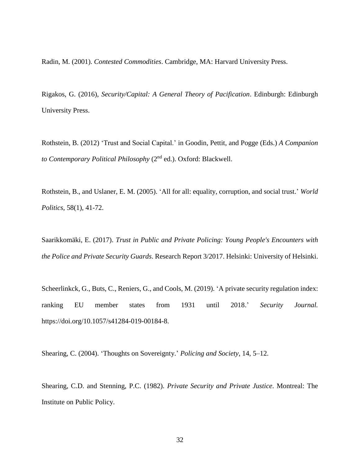Radin, M. (2001). *Contested Commodities*. Cambridge, MA: Harvard University Press.

Rigakos, G. (2016), *Security/Capital: A General Theory of Pacification*. Edinburgh: Edinburgh University Press.

Rothstein, B. (2012) 'Trust and Social Capital.' in Goodin, Pettit, and Pogge (Eds.) *A Companion to Contemporary Political Philosophy* (2nd ed.). Oxford: Blackwell.

Rothstein, B., and Uslaner, E. M. (2005). 'All for all: equality, corruption, and social trust.' *World Politics*, 58(1), 41-72.

Saarikkomäki, E. (2017). *Trust in Public and Private Policing: Young People's Encounters with the Police and Private Security Guards*. Research Report 3/2017. Helsinki: University of Helsinki.

Scheerlinkck, G., Buts, C., Reniers, G., and Cools, M. (2019). 'A private security regulation index: ranking EU member states from 1931 until 2018.' *Security Journal.* https://doi.org/10.1057/s41284-019-00184-8.

Shearing, C. (2004). 'Thoughts on Sovereignty.' *Policing and Society*, 14, 5–12.

Shearing, C.D. and Stenning, P.C. (1982). *Private Security and Private Justice*. Montreal: The Institute on Public Policy.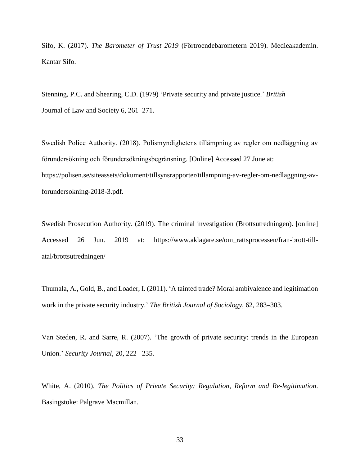Sifo, K. (2017). *The Barometer of Trust 2019* (Förtroendebarometern 2019). Medieakademin. Kantar Sifo.

Stenning, P.C. and Shearing, C.D. (1979) 'Private security and private justice.' *British*  Journal of Law and Society 6, 261–271.

Swedish Police Authority. (2018). Polismyndighetens tillämpning av regler om nedläggning av förundersökning och förundersökningsbegränsning. [Online] Accessed 27 June at: https://polisen.se/siteassets/dokument/tillsynsrapporter/tillampning-av-regler-om-nedlaggning-avforundersokning-2018-3.pdf.

Swedish Prosecution Authority. (2019). The criminal investigation (Brottsutredningen). [online] Accessed 26 Jun. 2019 at: https://www.aklagare.se/om\_rattsprocessen/fran-brott-tillatal/brottsutredningen/

Thumala, A., Gold, B., and Loader, I. (2011). 'A tainted trade? Moral ambivalence and legitimation work in the private security industry.' *The British Journal of Sociology*, 62, 283–303.

Van Steden, R. and Sarre, R. (2007). 'The growth of private security: trends in the European Union.' *Security Journal*, 20, 222– 235.

White, A. (2010). *The Politics of Private Security: Regulation, Reform and Re-legitimation*. Basingstoke: Palgrave Macmillan.